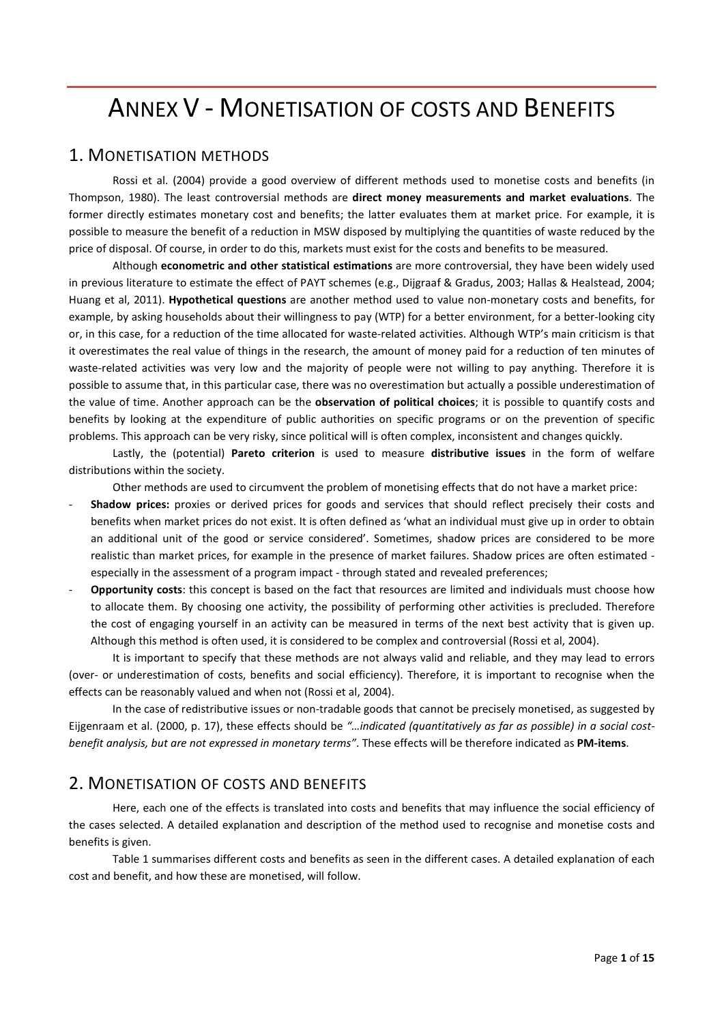# ANNEX V - MONETISATION OF COSTS AND BENEFITS

## 1. MONETISATION METHODS

Rossi et al. (2004) provide a good overview of different methods used to monetise costs and benefits (in Thompson, 1980). The least controversial methods are **direct money measurements and market evaluations**. The former directly estimates monetary cost and benefits; the latter evaluates them at market price. For example, it is possible to measure the benefit of a reduction in MSW disposed by multiplying the quantities of waste reduced by the price of disposal. Of course, in order to do this, markets must exist for the costs and benefits to be measured.

Although **econometric and other statistical estimations** are more controversial, they have been widely used in previous literature to estimate the effect of PAYT schemes (e.g., Dijgraaf & Gradus, 2003; Hallas & Healstead, 2004; Huang et al, 2011). **Hypothetical questions** are another method used to value non-monetary costs and benefits, for example, by asking households about their willingness to pay (WTP) for a better environment, for a better-looking city or, in this case, for a reduction of the time allocated for waste-related activities. Although WTP's main criticism is that it overestimates the real value of things in the research, the amount of money paid for a reduction of ten minutes of waste-related activities was very low and the majority of people were not willing to pay anything. Therefore it is possible to assume that, in this particular case, there was no overestimation but actually a possible underestimation of the value of time. Another approach can be the **observation of political choices**; it is possible to quantify costs and benefits by looking at the expenditure of public authorities on specific programs or on the prevention of specific problems. This approach can be very risky, since political will is often complex, inconsistent and changes quickly.

Lastly, the (potential) **Pareto criterion** is used to measure **distributive issues** in the form of welfare distributions within the society.

Other methods are used to circumvent the problem of monetising effects that do not have a market price:

- **Shadow prices:** proxies or derived prices for goods and services that should reflect precisely their costs and benefits when market prices do not exist. It is often defined as 'what an individual must give up in order to obtain an additional unit of the good or service considered'. Sometimes, shadow prices are considered to be more realistic than market prices, for example in the presence of market failures. Shadow prices are often estimated especially in the assessment of a program impact - through stated and revealed preferences;
- **Opportunity costs**: this concept is based on the fact that resources are limited and individuals must choose how to allocate them. By choosing one activity, the possibility of performing other activities is precluded. Therefore the cost of engaging yourself in an activity can be measured in terms of the next best activity that is given up. Although this method is often used, it is considered to be complex and controversial (Rossi et al, 2004).

It is important to specify that these methods are not always valid and reliable, and they may lead to errors (over- or underestimation of costs, benefits and social efficiency). Therefore, it is important to recognise when the effects can be reasonably valued and when not (Rossi et al, 2004).

In the case of redistributive issues or non-tradable goods that cannot be precisely monetised, as suggested by Eijgenraam et al. (2000, p. 17), these effects should be *"…indicated (quantitatively as far as possible) in a social costbenefit analysis, but are not expressed in monetary terms"*. These effects will be therefore indicated as **PM-items**.

## 2. MONETISATION OF COSTS AND BENEFITS

Here, each one of the effects is translated into costs and benefits that may influence the social efficiency of the cases selected. A detailed explanation and description of the method used to recognise and monetise costs and benefits is given.

Table 1 summarises different costs and benefits as seen in the different cases. A detailed explanation of each cost and benefit, and how these are monetised, will follow.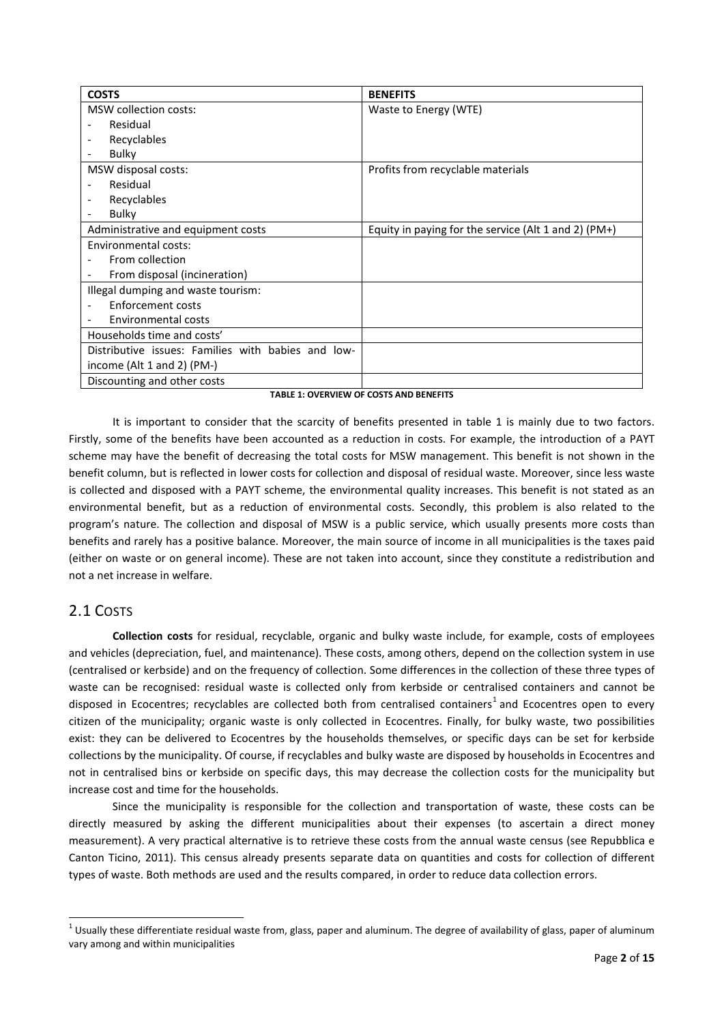| <b>COSTS</b>                                       | <b>BENEFITS</b>                                      |
|----------------------------------------------------|------------------------------------------------------|
| MSW collection costs:                              | Waste to Energy (WTE)                                |
| Residual                                           |                                                      |
| Recyclables                                        |                                                      |
| Bulky                                              |                                                      |
| MSW disposal costs:                                | Profits from recyclable materials                    |
| Residual                                           |                                                      |
| Recyclables                                        |                                                      |
| Bulky                                              |                                                      |
| Administrative and equipment costs                 | Equity in paying for the service (Alt 1 and 2) (PM+) |
| Environmental costs:                               |                                                      |
| From collection                                    |                                                      |
| From disposal (incineration)                       |                                                      |
| Illegal dumping and waste tourism:                 |                                                      |
| Enforcement costs                                  |                                                      |
| Environmental costs                                |                                                      |
| Households time and costs'                         |                                                      |
| Distributive issues: Families with babies and low- |                                                      |
| income (Alt 1 and 2) (PM-)                         |                                                      |
| Discounting and other costs                        |                                                      |

#### **TABLE 1: OVERVIEW OF COSTS AND BENEFITS**

It is important to consider that the scarcity of benefits presented in table 1 is mainly due to two factors. Firstly, some of the benefits have been accounted as a reduction in costs. For example, the introduction of a PAYT scheme may have the benefit of decreasing the total costs for MSW management. This benefit is not shown in the benefit column, but is reflected in lower costs for collection and disposal of residual waste. Moreover, since less waste is collected and disposed with a PAYT scheme, the environmental quality increases. This benefit is not stated as an environmental benefit, but as a reduction of environmental costs. Secondly, this problem is also related to the program's nature. The collection and disposal of MSW is a public service, which usually presents more costs than benefits and rarely has a positive balance. Moreover, the main source of income in all municipalities is the taxes paid (either on waste or on general income). These are not taken into account, since they constitute a redistribution and not a net increase in welfare.

# 2.1 COSTS

**.** 

**Collection costs** for residual, recyclable, organic and bulky waste include, for example, costs of employees and vehicles (depreciation, fuel, and maintenance). These costs, among others, depend on the collection system in use (centralised or kerbside) and on the frequency of collection. Some differences in the collection of these three types of waste can be recognised: residual waste is collected only from kerbside or centralised containers and cannot be disposed in Ecocentres; recyclables are collected both from centralised containers<sup>[1](#page-1-0)</sup> and Ecocentres open to every citizen of the municipality; organic waste is only collected in Ecocentres. Finally, for bulky waste, two possibilities exist: they can be delivered to Ecocentres by the households themselves, or specific days can be set for kerbside collections by the municipality. Of course, if recyclables and bulky waste are disposed by households in Ecocentres and not in centralised bins or kerbside on specific days, this may decrease the collection costs for the municipality but increase cost and time for the households.

Since the municipality is responsible for the collection and transportation of waste, these costs can be directly measured by asking the different municipalities about their expenses (to ascertain a direct money measurement). A very practical alternative is to retrieve these costs from the annual waste census (see Repubblica e Canton Ticino, 2011). This census already presents separate data on quantities and costs for collection of different types of waste. Both methods are used and the results compared, in order to reduce data collection errors.

<span id="page-1-0"></span> $^1$  Usually these differentiate residual waste from, glass, paper and aluminum. The degree of availability of glass, paper of aluminum vary among and within municipalities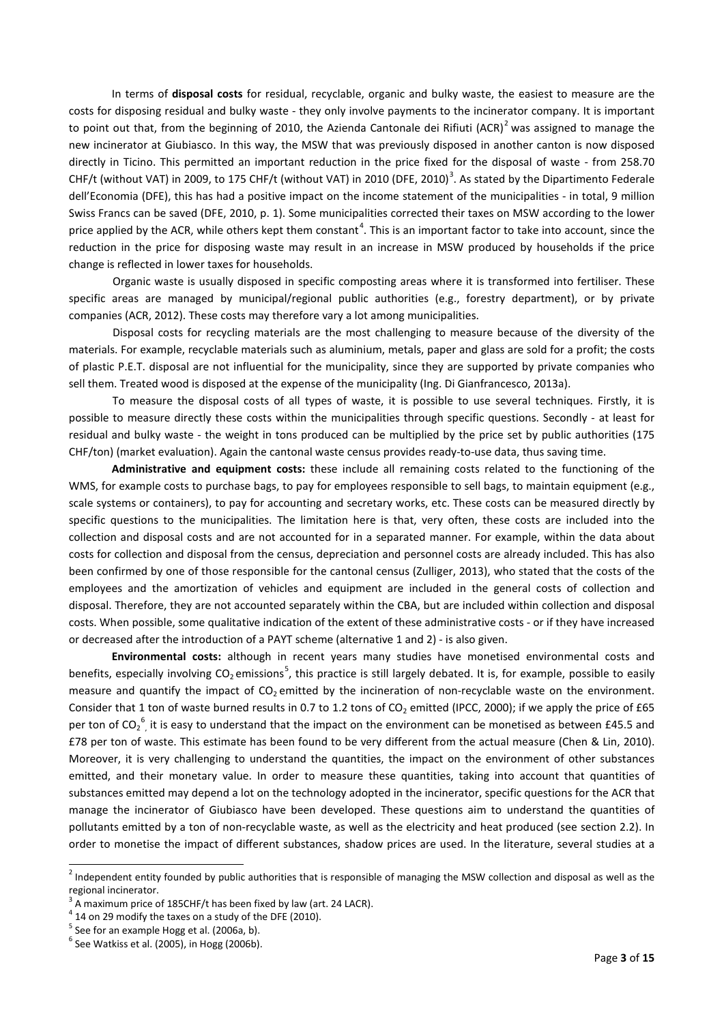In terms of **disposal costs** for residual, recyclable, organic and bulky waste, the easiest to measure are the costs for disposing residual and bulky waste - they only involve payments to the incinerator company. It is important to point out that, from the beginning of [2](#page-2-0)010, the Azienda Cantonale dei Rifiuti (ACR)<sup>2</sup> was assigned to manage the new incinerator at Giubiasco. In this way, the MSW that was previously disposed in another canton is now disposed directly in Ticino. This permitted an important reduction in the price fixed for the disposal of waste - from 258.70 CHF/t (without VAT) in 2009, to 175 CHF/t (without VAT) in 2010 (DFE, 2010)<sup>[3](#page-2-1)</sup>. As stated by the Dipartimento Federale dell'Economia (DFE), this has had a positive impact on the income statement of the municipalities - in total, 9 million Swiss Francs can be saved (DFE, 2010, p. 1). Some municipalities corrected their taxes on MSW according to the lower price applied by the ACR, while others kept them constant<sup>[4](#page-2-2)</sup>. This is an important factor to take into account, since the reduction in the price for disposing waste may result in an increase in MSW produced by households if the price change is reflected in lower taxes for households.

Organic waste is usually disposed in specific composting areas where it is transformed into fertiliser. These specific areas are managed by municipal/regional public authorities (e.g., forestry department), or by private companies (ACR, 2012). These costs may therefore vary a lot among municipalities.

Disposal costs for recycling materials are the most challenging to measure because of the diversity of the materials. For example, recyclable materials such as aluminium, metals, paper and glass are sold for a profit; the costs of plastic P.E.T. disposal are not influential for the municipality, since they are supported by private companies who sell them. Treated wood is disposed at the expense of the municipality (Ing. Di Gianfrancesco, 2013a).

To measure the disposal costs of all types of waste, it is possible to use several techniques. Firstly, it is possible to measure directly these costs within the municipalities through specific questions. Secondly - at least for residual and bulky waste - the weight in tons produced can be multiplied by the price set by public authorities (175 CHF/ton) (market evaluation). Again the cantonal waste census provides ready-to-use data, thus saving time.

**Administrative and equipment costs:** these include all remaining costs related to the functioning of the WMS, for example costs to purchase bags, to pay for employees responsible to sell bags, to maintain equipment (e.g., scale systems or containers), to pay for accounting and secretary works, etc. These costs can be measured directly by specific questions to the municipalities. The limitation here is that, very often, these costs are included into the collection and disposal costs and are not accounted for in a separated manner. For example, within the data about costs for collection and disposal from the census, depreciation and personnel costs are already included. This has also been confirmed by one of those responsible for the cantonal census (Zulliger, 2013), who stated that the costs of the employees and the amortization of vehicles and equipment are included in the general costs of collection and disposal. Therefore, they are not accounted separately within the CBA, but are included within collection and disposal costs. When possible, some qualitative indication of the extent of these administrative costs - or if they have increased or decreased after the introduction of a PAYT scheme (alternative 1 and 2) - is also given.

**Environmental costs:** although in recent years many studies have monetised environmental costs and benefits, especially involving CO<sub>2</sub> emissions<sup>[5](#page-2-3)</sup>, this practice is still largely debated. It is, for example, possible to easily measure and quantify the impact of CO<sub>2</sub> emitted by the incineration of non-recyclable waste on the environment. Consider that 1 ton of waste burned results in 0.7 to 1.2 tons of  $CO_2$  emitted (IPCC, 2000); if we apply the price of £65 per ton of CO<sub>2</sub><sup>[6](#page-2-4)</sup>, it is easy to understand that the impact on the environment can be monetised as between £45.5 and £78 per ton of waste. This estimate has been found to be very different from the actual measure (Chen & Lin, 2010). Moreover, it is very challenging to understand the quantities, the impact on the environment of other substances emitted, and their monetary value. In order to measure these quantities, taking into account that quantities of substances emitted may depend a lot on the technology adopted in the incinerator, specific questions for the ACR that manage the incinerator of Giubiasco have been developed. These questions aim to understand the quantities of pollutants emitted by a ton of non-recyclable waste, as well as the electricity and heat produced (see section 2.2). In order to monetise the impact of different substances, shadow prices are used. In the literature, several studies at a

1

<span id="page-2-0"></span><sup>&</sup>lt;sup>2</sup> Independent entity founded by public authorities that is responsible of managing the MSW collection and disposal as well as the regional incinerator.

<span id="page-2-1"></span> $3$  A maximum price of 185CHF/t has been fixed by law (art. 24 LACR).

<span id="page-2-2"></span> $4$  14 on 29 modify the taxes on a study of the DFE (2010).

<span id="page-2-3"></span> $<sup>5</sup>$  See for an example Hogg et al. (2006a, b).</sup>

<span id="page-2-4"></span> $<sup>6</sup>$  See Watkiss et al. (2005), in Hogg (2006b).</sup>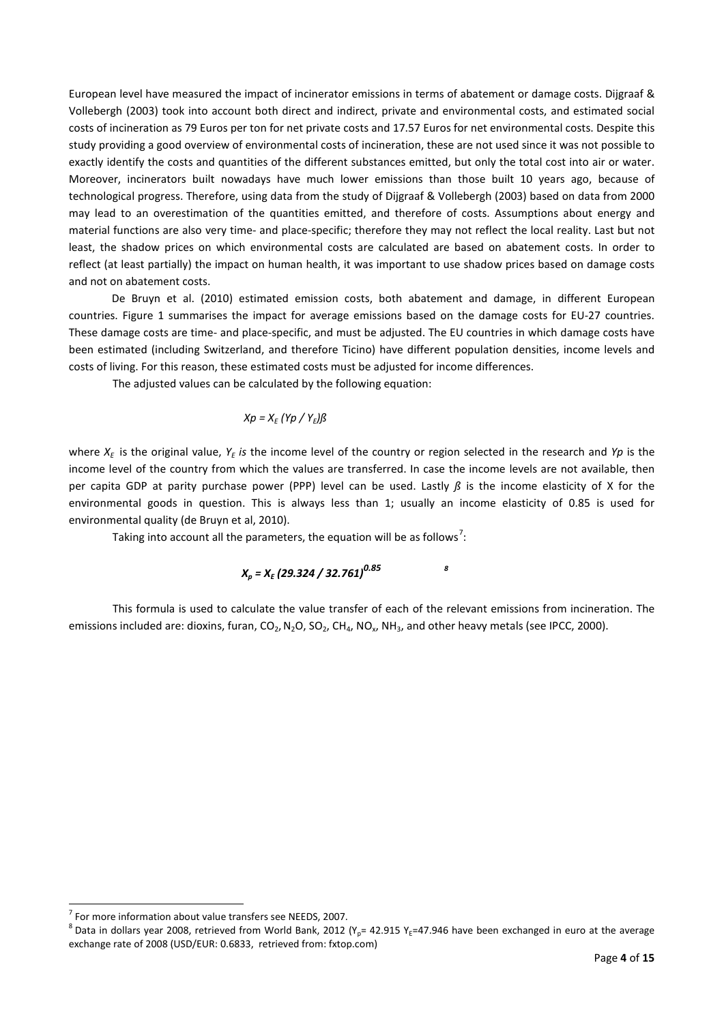European level have measured the impact of incinerator emissions in terms of abatement or damage costs. Dijgraaf & Vollebergh (2003) took into account both direct and indirect, private and environmental costs, and estimated social costs of incineration as 79 Euros per ton for net private costs and 17.57 Euros for net environmental costs. Despite this study providing a good overview of environmental costs of incineration, these are not used since it was not possible to exactly identify the costs and quantities of the different substances emitted, but only the total cost into air or water. Moreover, incinerators built nowadays have much lower emissions than those built 10 years ago, because of technological progress. Therefore, using data from the study of Dijgraaf & Vollebergh (2003) based on data from 2000 may lead to an overestimation of the quantities emitted, and therefore of costs. Assumptions about energy and material functions are also very time- and place-specific; therefore they may not reflect the local reality. Last but not least, the shadow prices on which environmental costs are calculated are based on abatement costs. In order to reflect (at least partially) the impact on human health, it was important to use shadow prices based on damage costs and not on abatement costs.

De Bruyn et al. (2010) estimated emission costs, both abatement and damage, in different European countries. Figure 1 summarises the impact for average emissions based on the damage costs for EU-27 countries. These damage costs are time- and place-specific, and must be adjusted. The EU countries in which damage costs have been estimated (including Switzerland, and therefore Ticino) have different population densities, income levels and costs of living. For this reason, these estimated costs must be adjusted for income differences.

The adjusted values can be calculated by the following equation:

#### $Xp = X_E (Yp / Y_E) \beta$

where  $X_F$  is the original value,  $Y_F$  *is* the income level of the country or region selected in the research and *Yp* is the income level of the country from which the values are transferred. In case the income levels are not available, then per capita GDP at parity purchase power (PPP) level can be used. Lastly *ß* is the income elasticity of X for the environmental goods in question. This is always less than 1; usually an income elasticity of 0.85 is used for environmental quality (de Bruyn et al, 2010).

Taking into account all the parameters, the equation will be as follows<sup>[7](#page-3-0)</sup>:

# *Xp = XE (29.324 / 32.761)0.85 [8](#page-3-1)*

This formula is used to calculate the value transfer of each of the relevant emissions from incineration. The emissions included are: dioxins, furan,  $CO_2$ ,  $N_2O$ ,  $SO_2$ ,  $CH_4$ ,  $NO_x$ ,  $NH_3$ , and other heavy metals (see IPCC, 2000).

1

<span id="page-3-0"></span> $<sup>7</sup>$  For more information about value transfers see NEEDS, 2007.</sup>

<span id="page-3-1"></span><sup>&</sup>lt;sup>8</sup> Data in dollars year 2008, retrieved from World Bank, 2012 (Y<sub>p</sub>= 42.915 Y<sub>E</sub>=47.946 have been exchanged in euro at the average exchange rate of 2008 (USD/EUR: 0.6833, retrieved from: fxtop.com)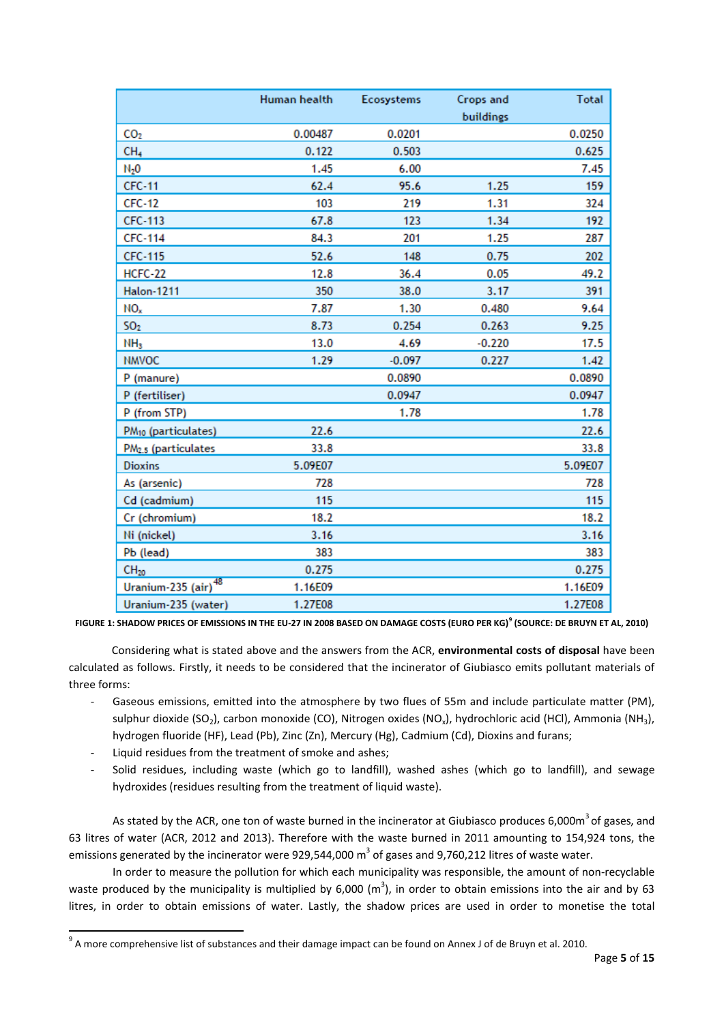|                                 | Human health | Ecosystems | <b>Crops and</b><br>buildings | <b>Total</b> |
|---------------------------------|--------------|------------|-------------------------------|--------------|
| CO <sub>2</sub>                 | 0.00487      | 0.0201     |                               | 0.0250       |
| CH <sub>4</sub>                 | 0.122        | 0.503      |                               | 0.625        |
| $N_2$ O                         | 1.45         | 6.00       |                               | 7.45         |
| <b>CFC-11</b>                   | 62.4         | 95.6       | 1.25                          | 159          |
| <b>CFC-12</b>                   | 103          | 219        | 1.31                          | 324          |
| <b>CFC-113</b>                  | 67.8         | 123        | 1.34                          | 192          |
| CFC-114                         | 84.3         | 201        | 1.25                          | 287          |
| CFC-115                         | 52.6         | 148        | 0.75                          | 202          |
| HCFC-22                         | 12.8         | 36.4       | 0.05                          | 49.2         |
| <b>Halon-1211</b>               | 350          | 38.0       | 3.17                          | 391          |
| NO <sub>x</sub>                 | 7.87         | 1.30       | 0.480                         | 9.64         |
| 50 <sub>2</sub>                 | 8.73         | 0.254      | 0.263                         | 9.25         |
| NH <sub>3</sub>                 | 13.0         | 4.69       | $-0.220$                      | 17.5         |
| <b>NMVOC</b>                    | 1.29         | $-0.097$   | 0.227                         | 1.42         |
| P (manure)                      |              | 0.0890     |                               | 0.0890       |
| P (fertiliser)                  |              | 0.0947     |                               | 0.0947       |
| P (from STP)                    |              | 1.78       |                               | 1.78         |
| PM <sub>10</sub> (particulates) | 22.6         |            |                               | 22.6         |
| PM <sub>2.5</sub> (particulates | 33.8         |            |                               | 33.8         |
| <b>Dioxins</b>                  | 5.09E07      |            |                               | 5.09E07      |
| As (arsenic)                    | 728          |            |                               | 728          |
| Cd (cadmium)                    | 115          |            |                               | 115          |
| Cr (chromium)                   | 18.2         |            |                               | 18.2         |
| Ni (nickel)                     | 3.16         |            |                               | 3.16         |
| Pb (lead)                       | 383          |            |                               | 383          |
| CH <sub>20</sub>                | 0.275        |            |                               | 0.275        |
| Uranium-235 (air) <sup>48</sup> | 1.16E09      |            |                               | 1.16E09      |
| Uranium-235 (water)             | 1.27E08      |            |                               | 1.27E08      |

**FIGURE 1: SHADOW PRICES OF EMISSIONS IN THE EU-27 IN 2008 BASED ON DAMAGE COSTS (EURO PER KG)[9](#page-4-0) (SOURCE: DE BRUYN ET AL, 2010)**

Considering what is stated above and the answers from the ACR, **environmental costs of disposal** have been calculated as follows. Firstly, it needs to be considered that the incinerator of Giubiasco emits pollutant materials of three forms:

- Gaseous emissions, emitted into the atmosphere by two flues of 55m and include particulate matter (PM), sulphur dioxide (SO<sub>2</sub>), carbon monoxide (CO), Nitrogen oxides (NO<sub>x</sub>), hydrochloric acid (HCl), Ammonia (NH<sub>3</sub>), hydrogen fluoride (HF), Lead (Pb), Zinc (Zn), Mercury (Hg), Cadmium (Cd), Dioxins and furans;
- Liquid residues from the treatment of smoke and ashes;

**.** 

- Solid residues, including waste (which go to landfill), washed ashes (which go to landfill), and sewage hydroxides (residues resulting from the treatment of liquid waste).

As stated by the ACR, one ton of waste burned in the incinerator at Giubiasco produces 6,000m<sup>3</sup> of gases, and 63 litres of water (ACR, 2012 and 2013). Therefore with the waste burned in 2011 amounting to 154,924 tons, the emissions generated by the incinerator were 929,544,000  $m<sup>3</sup>$  of gases and 9,760,212 litres of waste water.

In order to measure the pollution for which each municipality was responsible, the amount of non-recyclable waste produced by the municipality is multiplied by 6,000  $(m^3)$ , in order to obtain emissions into the air and by 63 litres, in order to obtain emissions of water. Lastly, the shadow prices are used in order to monetise the total

<span id="page-4-0"></span> $9$  A more comprehensive list of substances and their damage impact can be found on Annex J of de Bruyn et al. 2010.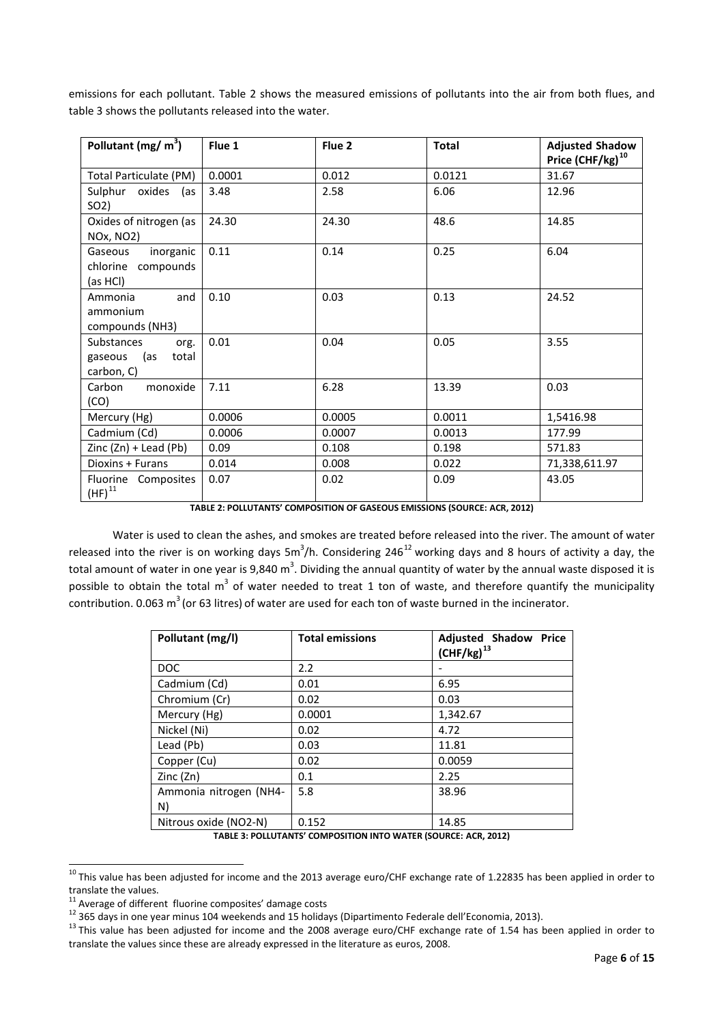emissions for each pollutant. Table 2 shows the measured emissions of pollutants into the air from both flues, and table 3 shows the pollutants released into the water.

| Pollutant (mg/ $m3$ )                                    | Flue 1 | Flue 2 | <b>Total</b> | <b>Adjusted Shadow</b><br>Price $(CHF/kg)^{10}$ |
|----------------------------------------------------------|--------|--------|--------------|-------------------------------------------------|
| Total Particulate (PM)                                   | 0.0001 | 0.012  | 0.0121       | 31.67                                           |
| Sulphur oxides<br>(as<br>SO <sub>2</sub> )               | 3.48   | 2.58   | 6.06         | 12.96                                           |
| Oxides of nitrogen (as<br><b>NOx, NO2)</b>               | 24.30  | 24.30  | 48.6         | 14.85                                           |
| inorganic<br>Gaseous<br>chlorine compounds<br>(as HCl)   | 0.11   | 0.14   | 0.25         | 6.04                                            |
| and<br>Ammonia<br>ammonium<br>compounds (NH3)            | 0.10   | 0.03   | 0.13         | 24.52                                           |
| Substances<br>org.<br>gaseous (as<br>total<br>carbon, C) | 0.01   | 0.04   | 0.05         | 3.55                                            |
| Carbon<br>monoxide<br>(CO)                               | 7.11   | 6.28   | 13.39        | 0.03                                            |
| Mercury (Hg)                                             | 0.0006 | 0.0005 | 0.0011       | 1,5416.98                                       |
| Cadmium (Cd)                                             | 0.0006 | 0.0007 | 0.0013       | 177.99                                          |
| $\text{Zinc}(\text{Zn}) + \text{lead}(\text{Pb})$        | 0.09   | 0.108  | 0.198        | 571.83                                          |
| Dioxins + Furans                                         | 0.014  | 0.008  | 0.022        | 71,338,611.97                                   |
| Fluorine Composites<br>$(HF)^{11}$                       | 0.07   | 0.02   | 0.09         | 43.05                                           |

**TABLE 2: POLLUTANTS' COMPOSITION OF GASEOUS EMISSIONS (SOURCE: ACR, 2012)**

Water is used to clean the ashes, and smokes are treated before released into the river. The amount of water released into the river is on working days 5m<sup>3</sup>/h. Considering 246<sup>[12](#page-5-2)</sup> working days and 8 hours of activity a day, the total amount of water in one year is 9,840 m<sup>3</sup>. Dividing the annual quantity of water by the annual waste disposed it is possible to obtain the total  $m^3$  of water needed to treat 1 ton of waste, and therefore quantify the municipality contribution. 0.063  $m^3$  (or 63 litres) of water are used for each ton of waste burned in the incinerator.

| Pollutant (mg/l)       | <b>Total emissions</b> | <b>Adjusted Shadow Price</b><br>$(CHF/kg)^{13}$ |
|------------------------|------------------------|-------------------------------------------------|
| <b>DOC</b>             | 2.2                    |                                                 |
| Cadmium (Cd)           | 0.01                   | 6.95                                            |
| Chromium (Cr)          | 0.02                   | 0.03                                            |
| Mercury (Hg)           | 0.0001                 | 1,342.67                                        |
| Nickel (Ni)            | 0.02                   | 4.72                                            |
| Lead (Pb)              | 0.03                   | 11.81                                           |
| Copper (Cu)            | 0.02                   | 0.0059                                          |
| Zinc (Zn)              | 0.1                    | 2.25                                            |
| Ammonia nitrogen (NH4- | 5.8                    | 38.96                                           |
| N)                     |                        |                                                 |
| Nitrous oxide (NO2-N)  | 0.152                  | 14.85                                           |
|                        |                        | - - -- -- - - -                                 |

**TABLE 3: POLLUTANTS' COMPOSITION INTO WATER (SOURCE: ACR, 2012)**

1

<span id="page-5-0"></span><sup>&</sup>lt;sup>10</sup> This value has been adjusted for income and the 2013 average euro/CHF exchange rate of 1.22835 has been applied in order to translate the values.<br><sup>11</sup> Average of different fluorine composites' damage costs

<span id="page-5-3"></span><span id="page-5-2"></span><span id="page-5-1"></span> $^{12}$  365 days in one year minus 104 weekends and 15 holidays (Dipartimento Federale dell'Economia, 2013).<br><sup>13</sup> This value has been adjusted for income and the 2008 average euro/CHF exchange rate of 1.54 has been applied translate the values since these are already expressed in the literature as euros, 2008.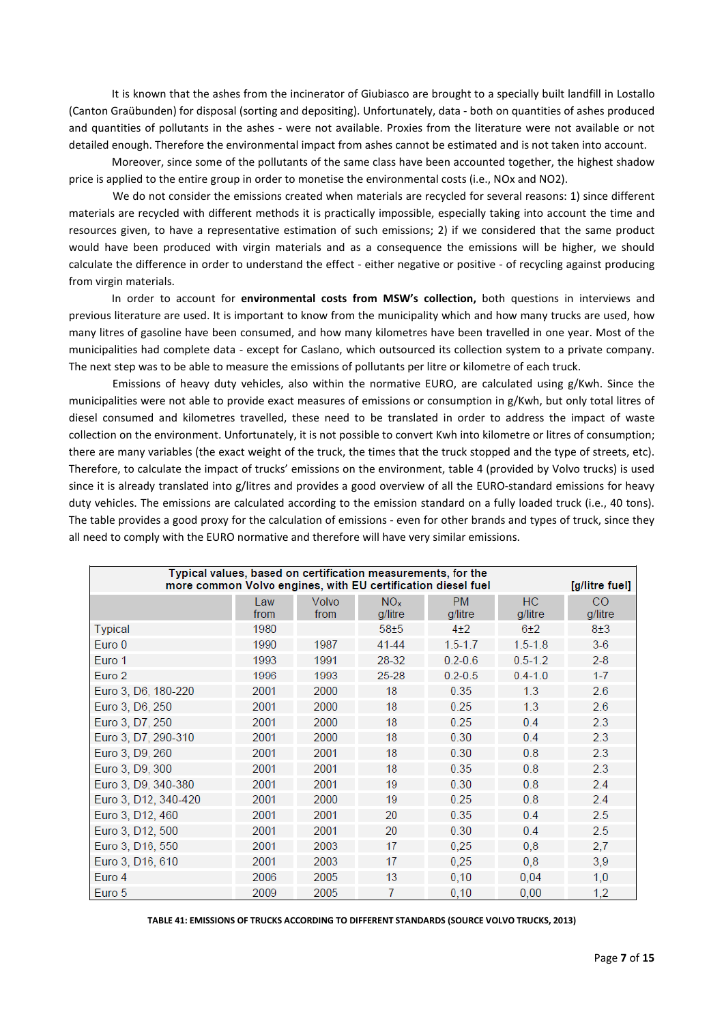It is known that the ashes from the incinerator of Giubiasco are brought to a specially built landfill in Lostallo (Canton Graübunden) for disposal (sorting and depositing). Unfortunately, data - both on quantities of ashes produced and quantities of pollutants in the ashes - were not available. Proxies from the literature were not available or not detailed enough. Therefore the environmental impact from ashes cannot be estimated and is not taken into account.

Moreover, since some of the pollutants of the same class have been accounted together, the highest shadow price is applied to the entire group in order to monetise the environmental costs (i.e., NOx and NO2).

We do not consider the emissions created when materials are recycled for several reasons: 1) since different materials are recycled with different methods it is practically impossible, especially taking into account the time and resources given, to have a representative estimation of such emissions; 2) if we considered that the same product would have been produced with virgin materials and as a consequence the emissions will be higher, we should calculate the difference in order to understand the effect - either negative or positive - of recycling against producing from virgin materials.

In order to account for **environmental costs from MSW's collection,** both questions in interviews and previous literature are used. It is important to know from the municipality which and how many trucks are used, how many litres of gasoline have been consumed, and how many kilometres have been travelled in one year. Most of the municipalities had complete data - except for Caslano, which outsourced its collection system to a private company. The next step was to be able to measure the emissions of pollutants per litre or kilometre of each truck.

Emissions of heavy duty vehicles, also within the normative EURO, are calculated using g/Kwh. Since the municipalities were not able to provide exact measures of emissions or consumption in g/Kwh, but only total litres of diesel consumed and kilometres travelled, these need to be translated in order to address the impact of waste collection on the environment. Unfortunately, it is not possible to convert Kwh into kilometre or litres of consumption; there are many variables (the exact weight of the truck, the times that the truck stopped and the type of streets, etc). Therefore, to calculate the impact of trucks' emissions on the environment, table 4 (provided by Volvo trucks) is used since it is already translated into g/litres and provides a good overview of all the EURO-standard emissions for heavy duty vehicles. The emissions are calculated according to the emission standard on a fully loaded truck (i.e., 40 tons). The table provides a good proxy for the calculation of emissions - even for other brands and types of truck, since they all need to comply with the EURO normative and therefore will have very similar emissions.

| Typical values, based on certification measurements, for the<br>more common Volvo engines, with EU certification diesel fuel<br>[g/litre fuel] |             |               |                            |                      |                      |               |
|------------------------------------------------------------------------------------------------------------------------------------------------|-------------|---------------|----------------------------|----------------------|----------------------|---------------|
|                                                                                                                                                | Law<br>from | Volvo<br>from | NO <sub>x</sub><br>q/litre | <b>PM</b><br>g/litre | <b>HC</b><br>g/litre | CO<br>g/litre |
| Typical                                                                                                                                        | 1980        |               | $58 + 5$                   | $4+2$                | 6±2                  | $8+3$         |
| Euro 0                                                                                                                                         | 1990        | 1987          | 41-44                      | $1.5 - 1.7$          | $1.5 - 1.8$          | $3-6$         |
| Euro 1                                                                                                                                         | 1993        | 1991          | 28-32                      | $0.2 - 0.6$          | $0.5 - 1.2$          | $2 - 8$       |
| Euro 2                                                                                                                                         | 1996        | 1993          | 25-28                      | $0.2 - 0.5$          | $0.4 - 1.0$          | $1 - 7$       |
| Euro 3, D6, 180-220                                                                                                                            | 2001        | 2000          | 18                         | 0.35                 | 1.3                  | 2.6           |
| Euro 3, D6, 250                                                                                                                                | 2001        | 2000          | 18                         | 0.25                 | 1.3                  | 2.6           |
| Euro 3, D7, 250                                                                                                                                | 2001        | 2000          | 18                         | 0.25                 | 0.4                  | 2.3           |
| Euro 3, D7, 290-310                                                                                                                            | 2001        | 2000          | 18                         | 0.30                 | 0.4                  | 2.3           |
| Euro 3, D9, 260                                                                                                                                | 2001        | 2001          | 18                         | 0.30                 | 0.8                  | 2.3           |
| Euro 3, D9, 300                                                                                                                                | 2001        | 2001          | 18                         | 0.35                 | 0.8                  | 2.3           |
| Euro 3, D9, 340-380                                                                                                                            | 2001        | 2001          | 19                         | 0.30                 | 0.8                  | 2.4           |
| Euro 3, D12, 340-420                                                                                                                           | 2001        | 2000          | 19                         | 0.25                 | 0.8                  | 2.4           |
| Euro 3, D12, 460                                                                                                                               | 2001        | 2001          | 20                         | 0.35                 | 0.4                  | 2.5           |
| Euro 3, D12, 500                                                                                                                               | 2001        | 2001          | 20                         | 0.30                 | 0.4                  | 2.5           |
| Euro 3, D16, 550                                                                                                                               | 2001        | 2003          | 17                         | 0.25                 | 0.8                  | 2,7           |
| Euro 3, D16, 610                                                                                                                               | 2001        | 2003          | 17                         | 0.25                 | 0,8                  | 3,9           |
| Euro 4                                                                                                                                         | 2006        | 2005          | 13                         | 0,10                 | 0,04                 | 1,0           |
| Euro 5                                                                                                                                         | 2009        | 2005          | 7                          | 0,10                 | 0,00                 | 1,2           |

**TABLE 41: EMISSIONS OF TRUCKS ACCORDING TO DIFFERENT STANDARDS (SOURCE VOLVO TRUCKS, 2013)**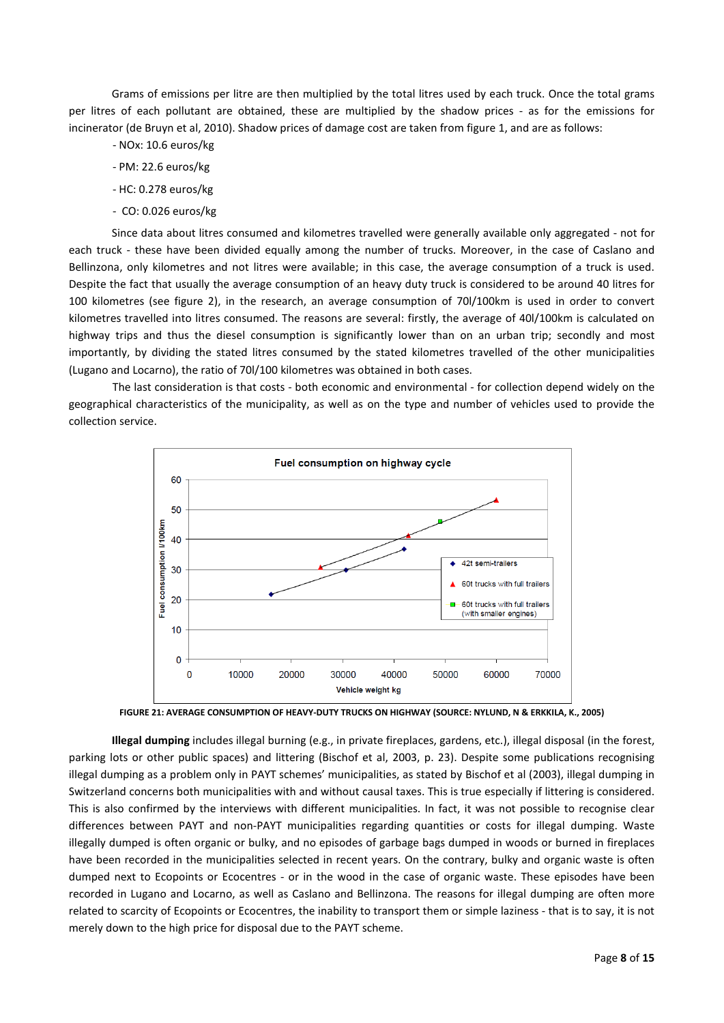Grams of emissions per litre are then multiplied by the total litres used by each truck. Once the total grams per litres of each pollutant are obtained, these are multiplied by the shadow prices - as for the emissions for incinerator (de Bruyn et al, 2010). Shadow prices of damage cost are taken from figure 1, and are as follows:

- NOx: 10.6 euros/kg
- PM: 22.6 euros/kg
- HC: 0.278 euros/kg
- CO: 0.026 euros/kg

Since data about litres consumed and kilometres travelled were generally available only aggregated - not for each truck - these have been divided equally among the number of trucks. Moreover, in the case of Caslano and Bellinzona, only kilometres and not litres were available; in this case, the average consumption of a truck is used. Despite the fact that usually the average consumption of an heavy duty truck is considered to be around 40 litres for 100 kilometres (see figure 2), in the research, an average consumption of 70l/100km is used in order to convert kilometres travelled into litres consumed. The reasons are several: firstly, the average of 40l/100km is calculated on highway trips and thus the diesel consumption is significantly lower than on an urban trip; secondly and most importantly, by dividing the stated litres consumed by the stated kilometres travelled of the other municipalities (Lugano and Locarno), the ratio of 70l/100 kilometres was obtained in both cases.

The last consideration is that costs - both economic and environmental - for collection depend widely on the geographical characteristics of the municipality, as well as on the type and number of vehicles used to provide the collection service.



**FIGURE 21: AVERAGE CONSUMPTION OF HEAVY-DUTY TRUCKS ON HIGHWAY (SOURCE: NYLUND, N & ERKKILA, K., 2005)**

**Illegal dumping** includes illegal burning (e.g., in private fireplaces, gardens, etc.), illegal disposal (in the forest, parking lots or other public spaces) and littering (Bischof et al, 2003, p. 23). Despite some publications recognising illegal dumping as a problem only in PAYT schemes' municipalities, as stated by Bischof et al (2003), illegal dumping in Switzerland concerns both municipalities with and without causal taxes. This is true especially if littering is considered. This is also confirmed by the interviews with different municipalities. In fact, it was not possible to recognise clear differences between PAYT and non-PAYT municipalities regarding quantities or costs for illegal dumping. Waste illegally dumped is often organic or bulky, and no episodes of garbage bags dumped in woods or burned in fireplaces have been recorded in the municipalities selected in recent years. On the contrary, bulky and organic waste is often dumped next to Ecopoints or Ecocentres - or in the wood in the case of organic waste. These episodes have been recorded in Lugano and Locarno, as well as Caslano and Bellinzona. The reasons for illegal dumping are often more related to scarcity of Ecopoints or Ecocentres, the inability to transport them or simple laziness - that is to say, it is not merely down to the high price for disposal due to the PAYT scheme.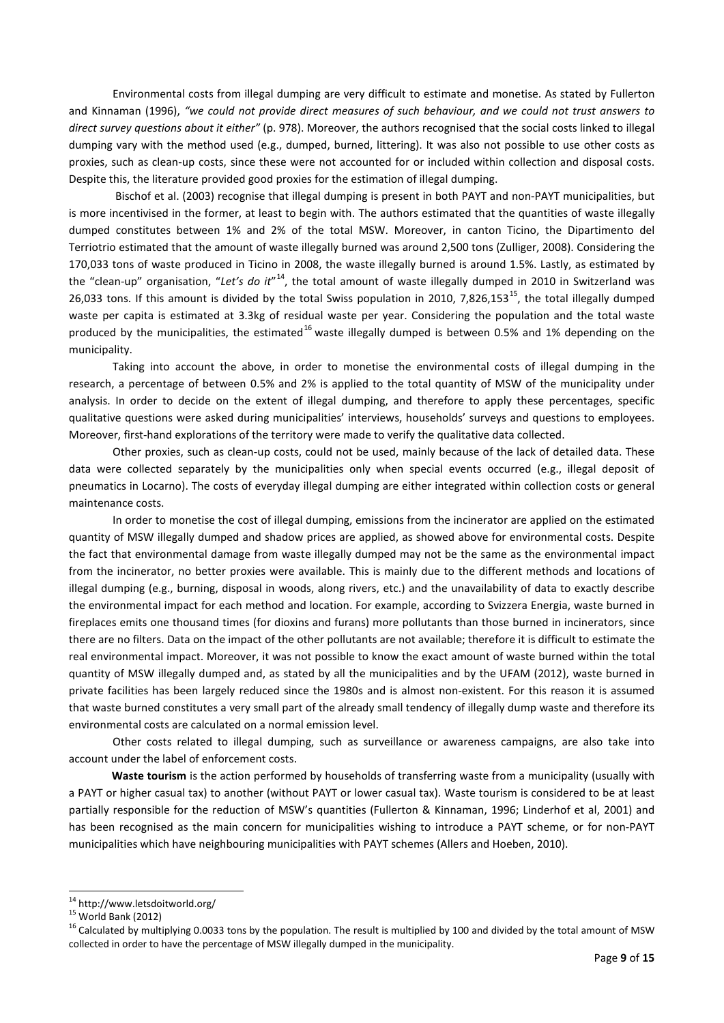Environmental costs from illegal dumping are very difficult to estimate and monetise. As stated by Fullerton and Kinnaman (1996), *"we could not provide direct measures of such behaviour, and we could not trust answers to direct survey questions about it either"* (p. 978). Moreover, the authors recognised that the social costs linked to illegal dumping vary with the method used (e.g., dumped, burned, littering). It was also not possible to use other costs as proxies, such as clean-up costs, since these were not accounted for or included within collection and disposal costs. Despite this, the literature provided good proxies for the estimation of illegal dumping.

Bischof et al. (2003) recognise that illegal dumping is present in both PAYT and non-PAYT municipalities, but is more incentivised in the former, at least to begin with. The authors estimated that the quantities of waste illegally dumped constitutes between 1% and 2% of the total MSW. Moreover, in canton Ticino, the Dipartimento del Terriotrio estimated that the amount of waste illegally burned was around 2,500 tons (Zulliger, 2008). Considering the 170,033 tons of waste produced in Ticino in 2008, the waste illegally burned is around 1.5%. Lastly, as estimated by the "clean-up" organisation, "Let's do it"<sup>[14](#page-8-0)</sup>, the total amount of waste illegally dumped in 2010 in Switzerland was 26,033 tons. If this amount is divided by the total Swiss population in 2010, 7,826,153<sup>15</sup>, the total illegally dumped waste per capita is estimated at 3.3kg of residual waste per year. Considering the population and the total waste produced by the municipalities, the estimated<sup>[16](#page-8-2)</sup> waste illegally dumped is between 0.5% and 1% depending on the municipality.

Taking into account the above, in order to monetise the environmental costs of illegal dumping in the research, a percentage of between 0.5% and 2% is applied to the total quantity of MSW of the municipality under analysis. In order to decide on the extent of illegal dumping, and therefore to apply these percentages, specific qualitative questions were asked during municipalities' interviews, households' surveys and questions to employees. Moreover, first-hand explorations of the territory were made to verify the qualitative data collected.

Other proxies, such as clean-up costs, could not be used, mainly because of the lack of detailed data. These data were collected separately by the municipalities only when special events occurred (e.g., illegal deposit of pneumatics in Locarno). The costs of everyday illegal dumping are either integrated within collection costs or general maintenance costs.

In order to monetise the cost of illegal dumping, emissions from the incinerator are applied on the estimated quantity of MSW illegally dumped and shadow prices are applied, as showed above for environmental costs. Despite the fact that environmental damage from waste illegally dumped may not be the same as the environmental impact from the incinerator, no better proxies were available. This is mainly due to the different methods and locations of illegal dumping (e.g., burning, disposal in woods, along rivers, etc.) and the unavailability of data to exactly describe the environmental impact for each method and location. For example, according to Svizzera Energia, waste burned in fireplaces emits one thousand times (for dioxins and furans) more pollutants than those burned in incinerators, since there are no filters. Data on the impact of the other pollutants are not available; therefore it is difficult to estimate the real environmental impact. Moreover, it was not possible to know the exact amount of waste burned within the total quantity of MSW illegally dumped and, as stated by all the municipalities and by the UFAM (2012), waste burned in private facilities has been largely reduced since the 1980s and is almost non-existent. For this reason it is assumed that waste burned constitutes a very small part of the already small tendency of illegally dump waste and therefore its environmental costs are calculated on a normal emission level.

Other costs related to illegal dumping, such as surveillance or awareness campaigns, are also take into account under the label of enforcement costs.

**Waste tourism** is the action performed by households of transferring waste from a municipality (usually with a PAYT or higher casual tax) to another (without PAYT or lower casual tax). Waste tourism is considered to be at least partially responsible for the reduction of MSW's quantities (Fullerton & Kinnaman, 1996; Linderhof et al, 2001) and has been recognised as the main concern for municipalities wishing to introduce a PAYT scheme, or for non-PAYT municipalities which have neighbouring municipalities with PAYT schemes (Allers and Hoeben, 2010).

**.** 

<span id="page-8-2"></span><span id="page-8-1"></span>

<span id="page-8-0"></span><sup>&</sup>lt;sup>14</sup> http://www.letsdoitworld.org/<br><sup>15</sup> World Bank (2012)<br><sup>16</sup> Calculated by multiplying 0.0033 tons by the population. The result is multiplied by 100 and divided by the total amount of MSW collected in order to have the percentage of MSW illegally dumped in the municipality.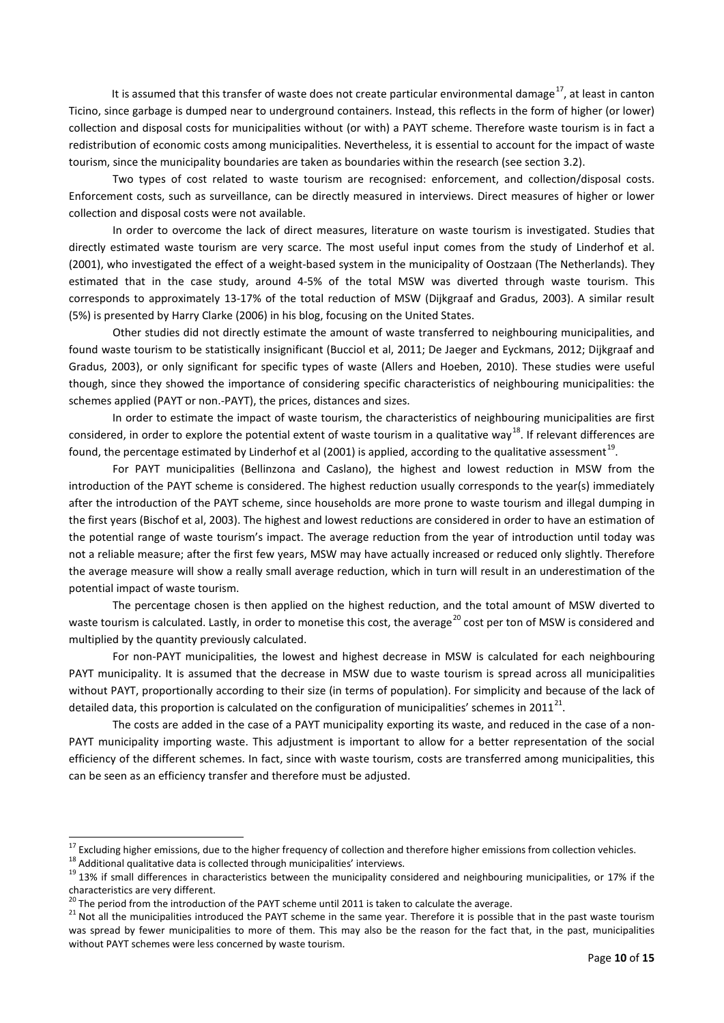It is assumed that this transfer of waste does not create particular environmental damage<sup>17</sup>, at least in canton Ticino, since garbage is dumped near to underground containers. Instead, this reflects in the form of higher (or lower) collection and disposal costs for municipalities without (or with) a PAYT scheme. Therefore waste tourism is in fact a redistribution of economic costs among municipalities. Nevertheless, it is essential to account for the impact of waste tourism, since the municipality boundaries are taken as boundaries within the research (see section 3.2).

Two types of cost related to waste tourism are recognised: enforcement, and collection/disposal costs. Enforcement costs, such as surveillance, can be directly measured in interviews. Direct measures of higher or lower collection and disposal costs were not available.

In order to overcome the lack of direct measures, literature on waste tourism is investigated. Studies that directly estimated waste tourism are very scarce. The most useful input comes from the study of Linderhof et al. (2001), who investigated the effect of a weight-based system in the municipality of Oostzaan (The Netherlands). They estimated that in the case study, around 4-5% of the total MSW was diverted through waste tourism. This corresponds to approximately 13-17% of the total reduction of MSW (Dijkgraaf and Gradus, 2003). A similar result (5%) is presented by Harry Clarke (2006) in his blog, focusing on the United States.

Other studies did not directly estimate the amount of waste transferred to neighbouring municipalities, and found waste tourism to be statistically insignificant (Bucciol et al, 2011; De Jaeger and Eyckmans, 2012; Dijkgraaf and Gradus, 2003), or only significant for specific types of waste (Allers and Hoeben, 2010). These studies were useful though, since they showed the importance of considering specific characteristics of neighbouring municipalities: the schemes applied (PAYT or non.-PAYT), the prices, distances and sizes.

In order to estimate the impact of waste tourism, the characteristics of neighbouring municipalities are first considered, in order to explore the potential extent of waste tourism in a qualitative way<sup>[18](#page-9-1)</sup>. If relevant differences are found, the percentage estimated by Linderhof et al (2001) is applied, according to the qualitative assessment<sup>19</sup>.

For PAYT municipalities (Bellinzona and Caslano), the highest and lowest reduction in MSW from the introduction of the PAYT scheme is considered. The highest reduction usually corresponds to the year(s) immediately after the introduction of the PAYT scheme, since households are more prone to waste tourism and illegal dumping in the first years (Bischof et al, 2003). The highest and lowest reductions are considered in order to have an estimation of the potential range of waste tourism's impact. The average reduction from the year of introduction until today was not a reliable measure; after the first few years, MSW may have actually increased or reduced only slightly. Therefore the average measure will show a really small average reduction, which in turn will result in an underestimation of the potential impact of waste tourism.

The percentage chosen is then applied on the highest reduction, and the total amount of MSW diverted to waste tourism is calculated. Lastly, in order to monetise this cost, the average<sup>[20](#page-9-3)</sup> cost per ton of MSW is considered and multiplied by the quantity previously calculated.

For non-PAYT municipalities, the lowest and highest decrease in MSW is calculated for each neighbouring PAYT municipality. It is assumed that the decrease in MSW due to waste tourism is spread across all municipalities without PAYT, proportionally according to their size (in terms of population). For simplicity and because of the lack of detailed data, this proportion is calculated on the configuration of municipalities' schemes in 2011<sup>21</sup>.

The costs are added in the case of a PAYT municipality exporting its waste, and reduced in the case of a non-PAYT municipality importing waste. This adjustment is important to allow for a better representation of the social efficiency of the different schemes. In fact, since with waste tourism, costs are transferred among municipalities, this can be seen as an efficiency transfer and therefore must be adjusted.

<span id="page-9-0"></span><sup>&</sup>lt;sup>17</sup> Excluding higher emissions, due to the higher frequency of collection and therefore higher emissions from collection vehicles.

<span id="page-9-2"></span><span id="page-9-1"></span><sup>&</sup>lt;sup>18</sup> Additional qualitative data is collected through municipalities' interviews.<br><sup>19</sup> 13% if small differences in characteristics between the municipality considered and neighbouring municipalities, or 17% if the characteristics are very different.<br>
<sup>20</sup> The period from the introduction of the PAYT scheme until 2011 is taken to calculate the average.

<span id="page-9-4"></span><span id="page-9-3"></span><sup>&</sup>lt;sup>21</sup> Not all the municipalities introduced the PAYT scheme in the same year. Therefore it is possible that in the past waste tourism was spread by fewer municipalities to more of them. This may also be the reason for the fact that, in the past, municipalities without PAYT schemes were less concerned by waste tourism.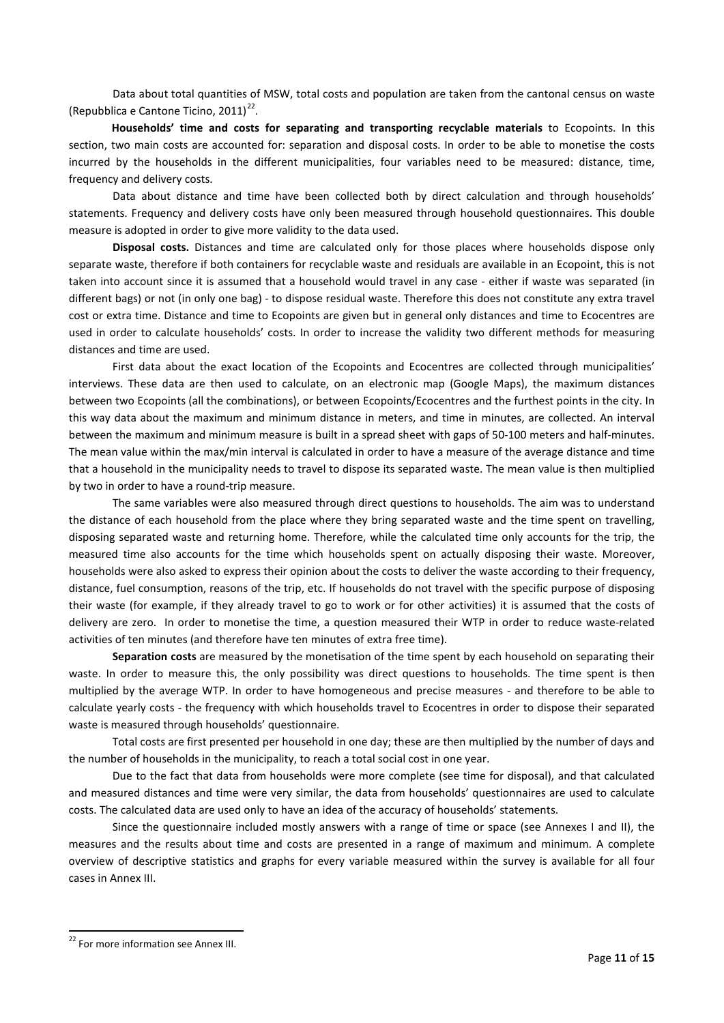Data about total quantities of MSW, total costs and population are taken from the cantonal census on waste (Repubblica e Cantone Ticino, 2011) $^{22}$ .

**Households' time and costs for separating and transporting recyclable materials** to Ecopoints. In this section, two main costs are accounted for: separation and disposal costs. In order to be able to monetise the costs incurred by the households in the different municipalities, four variables need to be measured: distance, time, frequency and delivery costs.

Data about distance and time have been collected both by direct calculation and through households' statements. Frequency and delivery costs have only been measured through household questionnaires. This double measure is adopted in order to give more validity to the data used.

**Disposal costs.** Distances and time are calculated only for those places where households dispose only separate waste, therefore if both containers for recyclable waste and residuals are available in an Ecopoint, this is not taken into account since it is assumed that a household would travel in any case - either if waste was separated (in different bags) or not (in only one bag) - to dispose residual waste. Therefore this does not constitute any extra travel cost or extra time. Distance and time to Ecopoints are given but in general only distances and time to Ecocentres are used in order to calculate households' costs. In order to increase the validity two different methods for measuring distances and time are used.

First data about the exact location of the Ecopoints and Ecocentres are collected through municipalities' interviews. These data are then used to calculate, on an electronic map (Google Maps), the maximum distances between two Ecopoints (all the combinations), or between Ecopoints/Ecocentres and the furthest points in the city. In this way data about the maximum and minimum distance in meters, and time in minutes, are collected. An interval between the maximum and minimum measure is built in a spread sheet with gaps of 50-100 meters and half-minutes. The mean value within the max/min interval is calculated in order to have a measure of the average distance and time that a household in the municipality needs to travel to dispose its separated waste. The mean value is then multiplied by two in order to have a round-trip measure.

The same variables were also measured through direct questions to households. The aim was to understand the distance of each household from the place where they bring separated waste and the time spent on travelling, disposing separated waste and returning home. Therefore, while the calculated time only accounts for the trip, the measured time also accounts for the time which households spent on actually disposing their waste. Moreover, households were also asked to express their opinion about the costs to deliver the waste according to their frequency, distance, fuel consumption, reasons of the trip, etc. If households do not travel with the specific purpose of disposing their waste (for example, if they already travel to go to work or for other activities) it is assumed that the costs of delivery are zero. In order to monetise the time, a question measured their WTP in order to reduce waste-related activities of ten minutes (and therefore have ten minutes of extra free time).

**Separation costs** are measured by the monetisation of the time spent by each household on separating their waste. In order to measure this, the only possibility was direct questions to households. The time spent is then multiplied by the average WTP. In order to have homogeneous and precise measures - and therefore to be able to calculate yearly costs - the frequency with which households travel to Ecocentres in order to dispose their separated waste is measured through households' questionnaire.

Total costs are first presented per household in one day; these are then multiplied by the number of days and the number of households in the municipality, to reach a total social cost in one year.

Due to the fact that data from households were more complete (see time for disposal), and that calculated and measured distances and time were very similar, the data from households' questionnaires are used to calculate costs. The calculated data are used only to have an idea of the accuracy of households' statements.

Since the questionnaire included mostly answers with a range of time or space (see Annexes I and II), the measures and the results about time and costs are presented in a range of maximum and minimum. A complete overview of descriptive statistics and graphs for every variable measured within the survey is available for all four cases in Annex III.

**.** 

<span id="page-10-0"></span><sup>&</sup>lt;sup>22</sup> For more information see Annex III.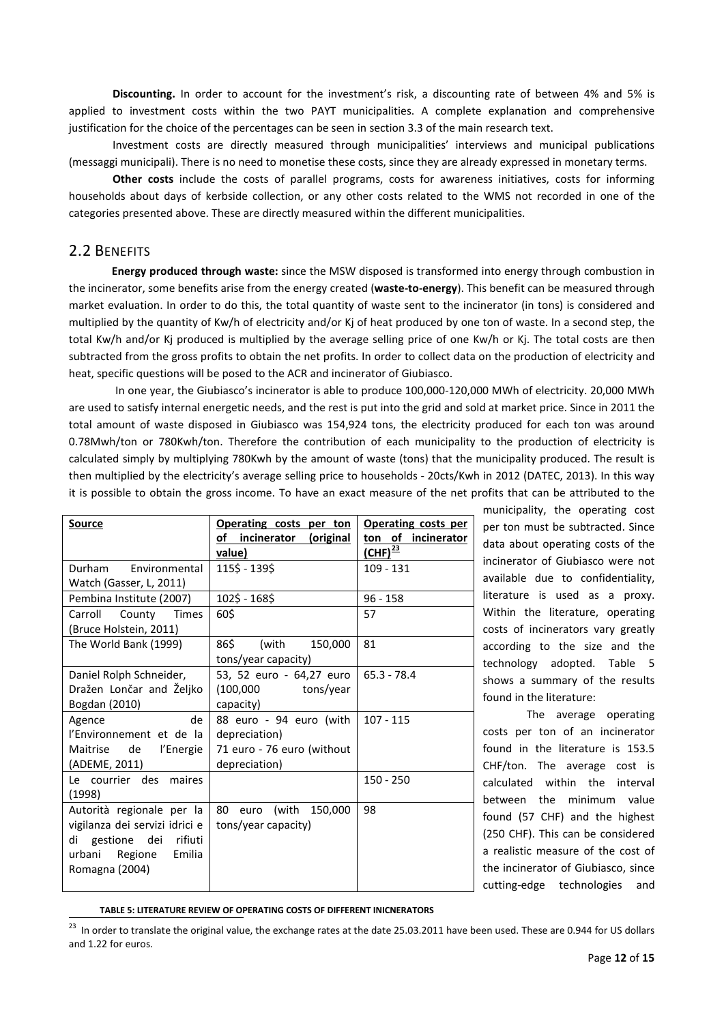**Discounting.** In order to account for the investment's risk, a discounting rate of between 4% and 5% is applied to investment costs within the two PAYT municipalities. A complete explanation and comprehensive justification for the choice of the percentages can be seen in section 3.3 of the main research text.

Investment costs are directly measured through municipalities' interviews and municipal publications (messaggi municipali). There is no need to monetise these costs, since they are already expressed in monetary terms.

**Other costs** include the costs of parallel programs, costs for awareness initiatives, costs for informing households about days of kerbside collection, or any other costs related to the WMS not recorded in one of the categories presented above. These are directly measured within the different municipalities.

## 2.2 BENEFITS

**.** 

**Energy produced through waste:** since the MSW disposed is transformed into energy through combustion in the incinerator, some benefits arise from the energy created (**waste-to-energy**). This benefit can be measured through market evaluation. In order to do this, the total quantity of waste sent to the incinerator (in tons) is considered and multiplied by the quantity of Kw/h of electricity and/or Kj of heat produced by one ton of waste. In a second step, the total Kw/h and/or Kj produced is multiplied by the average selling price of one Kw/h or Kj. The total costs are then subtracted from the gross profits to obtain the net profits. In order to collect data on the production of electricity and heat, specific questions will be posed to the ACR and incinerator of Giubiasco.

In one year, the Giubiasco's incinerator is able to produce 100,000-120,000 MWh of electricity. 20,000 MWh are used to satisfy internal energetic needs, and the rest is put into the grid and sold at market price. Since in 2011 the total amount of waste disposed in Giubiasco was 154,924 tons, the electricity produced for each ton was around 0.78Mwh/ton or 780Kwh/ton. Therefore the contribution of each municipality to the production of electricity is calculated simply by multiplying 780Kwh by the amount of waste (tons) that the municipality produced. The result is then multiplied by the electricity's average selling price to households - 20cts/Kwh in 2012 (DATEC, 2013). In this way it is possible to obtain the gross income. To have an exact measure of the net profits that can be attributed to the

| <b>Source</b>                                                                                                                        | Operating costs per ton<br>of incinerator (original                                     | Operating costs per<br>ton of incinerator |
|--------------------------------------------------------------------------------------------------------------------------------------|-----------------------------------------------------------------------------------------|-------------------------------------------|
|                                                                                                                                      | value)                                                                                  | $(LHF)^{\frac{23}{23}}$                   |
| Durham Environmental<br>Watch (Gasser, L, 2011)                                                                                      | 115\$ - 139\$                                                                           | $109 - 131$                               |
| Pembina Institute (2007)                                                                                                             | 102\$ - 168\$                                                                           | $96 - 158$                                |
| Carroll<br>County Times<br>(Bruce Holstein, 2011)                                                                                    | 60\$                                                                                    | 57                                        |
| The World Bank (1999)                                                                                                                | 86\$<br>(with<br>150,000<br>tons/year capacity)                                         | 81                                        |
| Daniel Rolph Schneider,<br>Dražen Lončar and Željko<br>Bogdan (2010)                                                                 | 53, 52 euro - 64,27 euro<br>$(100,000$ tons/year<br>capacity)                           | $65.3 - 78.4$                             |
| de<br>Agence<br>l'Environnement et de la<br>Maitrise de l'Energie<br>(ADEME, 2011)                                                   | 88 euro - 94 euro (with<br>depreciation)<br>71 euro - 76 euro (without<br>depreciation) | $107 - 115$                               |
| Le courrier des maires<br>(1998)                                                                                                     |                                                                                         | $150 - 250$                               |
| Autorità regionale per la<br>vigilanza dei servizi idrici e<br>rifiuti<br>di gestione dei<br>urbani Regione Emilia<br>Romagna (2004) | 80 euro (with 150,000<br>tons/year capacity)                                            | 98                                        |

municipality, the operating cost per ton must be subtracted. Since data about operating costs of the incinerator of Giubiasco were not available due to confidentiality, literature is used as a proxy. Within the literature, operating costs of incinerators vary greatly according to the size and the technology adopted. Table 5 shows a summary of the results found in the literature:

The average operating costs per ton of an incinerator found in the literature is 153.5 CHF/ton. The average cost is calculated within the interval between the minimum value found (57 CHF) and the highest (250 CHF). This can be considered a realistic measure of the cost of the incinerator of Giubiasco, since cutting-edge technologies and

#### **TABLE 5: LITERATURE REVIEW OF OPERATING COSTS OF DIFFERENT INICNERATORS**

<span id="page-11-0"></span> $^{23}$  In order to translate the original value, the exchange rates at the date 25.03.2011 have been used. These are 0.944 for US dollars and 1.22 for euros.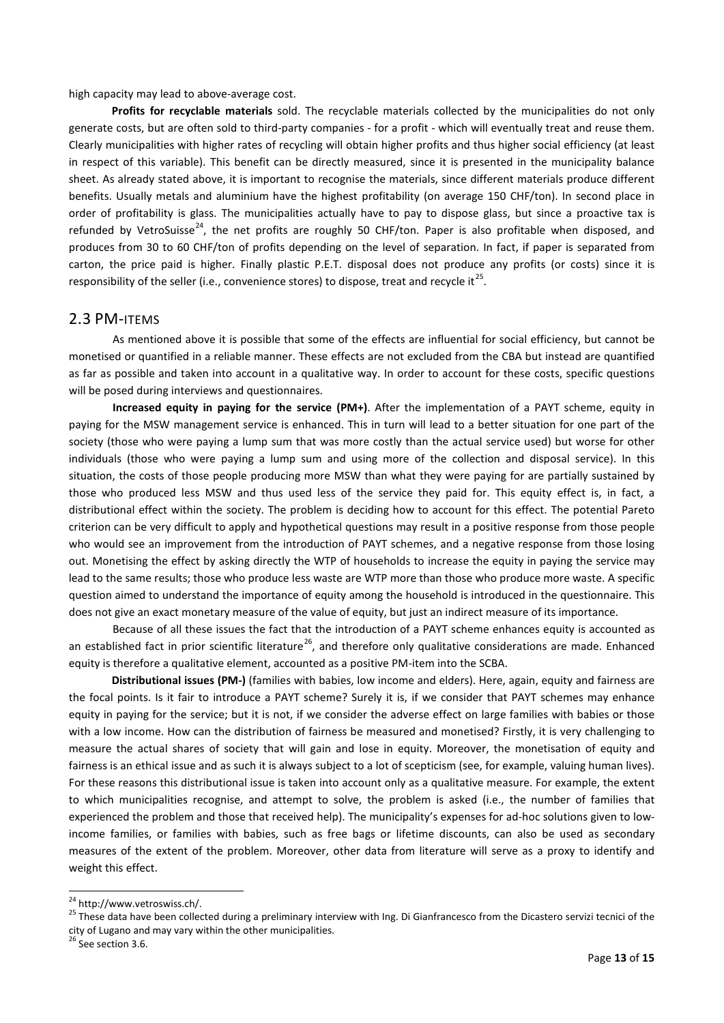high capacity may lead to above-average cost.

**Profits for recyclable materials** sold. The recyclable materials collected by the municipalities do not only generate costs, but are often sold to third-party companies - for a profit - which will eventually treat and reuse them. Clearly municipalities with higher rates of recycling will obtain higher profits and thus higher social efficiency (at least in respect of this variable). This benefit can be directly measured, since it is presented in the municipality balance sheet. As already stated above, it is important to recognise the materials, since different materials produce different benefits. Usually metals and aluminium have the highest profitability (on average 150 CHF/ton). In second place in order of profitability is glass. The municipalities actually have to pay to dispose glass, but since a proactive tax is refunded by VetroSuisse<sup>[24](#page-12-0)</sup>, the net profits are roughly 50 CHF/ton. Paper is also profitable when disposed, and produces from 30 to 60 CHF/ton of profits depending on the level of separation. In fact, if paper is separated from carton, the price paid is higher. Finally plastic P.E.T. disposal does not produce any profits (or costs) since it is responsibility of the seller (i.e., convenience stores) to dispose, treat and recycle it<sup>25</sup>.

### 2.3 PM-ITEMS

As mentioned above it is possible that some of the effects are influential for social efficiency, but cannot be monetised or quantified in a reliable manner. These effects are not excluded from the CBA but instead are quantified as far as possible and taken into account in a qualitative way. In order to account for these costs, specific questions will be posed during interviews and questionnaires.

**Increased equity in paying for the service (PM+)**. After the implementation of a PAYT scheme, equity in paying for the MSW management service is enhanced. This in turn will lead to a better situation for one part of the society (those who were paying a lump sum that was more costly than the actual service used) but worse for other individuals (those who were paying a lump sum and using more of the collection and disposal service). In this situation, the costs of those people producing more MSW than what they were paying for are partially sustained by those who produced less MSW and thus used less of the service they paid for. This equity effect is, in fact, a distributional effect within the society. The problem is deciding how to account for this effect. The potential Pareto criterion can be very difficult to apply and hypothetical questions may result in a positive response from those people who would see an improvement from the introduction of PAYT schemes, and a negative response from those losing out. Monetising the effect by asking directly the WTP of households to increase the equity in paying the service may lead to the same results; those who produce less waste are WTP more than those who produce more waste. A specific question aimed to understand the importance of equity among the household is introduced in the questionnaire. This does not give an exact monetary measure of the value of equity, but just an indirect measure of its importance.

Because of all these issues the fact that the introduction of a PAYT scheme enhances equity is accounted as an established fact in prior scientific literature<sup>26</sup>, and therefore only qualitative considerations are made. Enhanced equity is therefore a qualitative element, accounted as a positive PM-item into the SCBA.

**Distributional issues (PM-)** (families with babies, low income and elders). Here, again, equity and fairness are the focal points. Is it fair to introduce a PAYT scheme? Surely it is, if we consider that PAYT schemes may enhance equity in paying for the service; but it is not, if we consider the adverse effect on large families with babies or those with a low income. How can the distribution of fairness be measured and monetised? Firstly, it is very challenging to measure the actual shares of society that will gain and lose in equity. Moreover, the monetisation of equity and fairness is an ethical issue and as such it is always subject to a lot of scepticism (see, for example, valuing human lives). For these reasons this distributional issue is taken into account only as a qualitative measure. For example, the extent to which municipalities recognise, and attempt to solve, the problem is asked (i.e., the number of families that experienced the problem and those that received help). The municipality's expenses for ad-hoc solutions given to lowincome families, or families with babies, such as free bags or lifetime discounts, can also be used as secondary measures of the extent of the problem. Moreover, other data from literature will serve as a proxy to identify and weight this effect.

<span id="page-12-2"></span><sup>26</sup> See section 3.6.

**.** 

<span id="page-12-1"></span><span id="page-12-0"></span><sup>&</sup>lt;sup>24</sup> http://www.vetroswiss.ch/.<br><sup>25</sup> These data have been collected during a preliminary interview with Ing. Di Gianfrancesco from the Dicastero servizi tecnici of the city of Lugano and may vary within the other municipalities.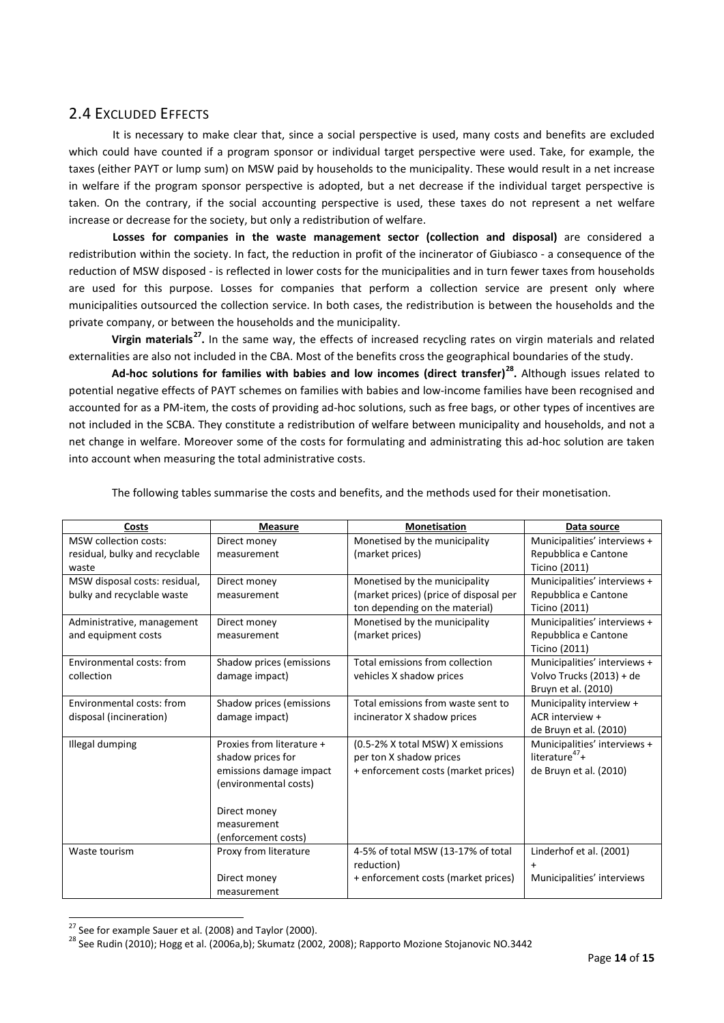# 2.4 EXCLUDED EFFECTS

It is necessary to make clear that, since a social perspective is used, many costs and benefits are excluded which could have counted if a program sponsor or individual target perspective were used. Take, for example, the taxes (either PAYT or lump sum) on MSW paid by households to the municipality. These would result in a net increase in welfare if the program sponsor perspective is adopted, but a net decrease if the individual target perspective is taken. On the contrary, if the social accounting perspective is used, these taxes do not represent a net welfare increase or decrease for the society, but only a redistribution of welfare.

**Losses for companies in the waste management sector (collection and disposal)** are considered a redistribution within the society. In fact, the reduction in profit of the incinerator of Giubiasco - a consequence of the reduction of MSW disposed - is reflected in lower costs for the municipalities and in turn fewer taxes from households are used for this purpose. Losses for companies that perform a collection service are present only where municipalities outsourced the collection service. In both cases, the redistribution is between the households and the private company, or between the households and the municipality.

**Virgin materials[27.](#page-13-0)** In the same way, the effects of increased recycling rates on virgin materials and related externalities are also not included in the CBA. Most of the benefits cross the geographical boundaries of the study.

**Ad-hoc solutions for families with babies and low incomes (direct transfer)[28.](#page-13-1)** Although issues related to potential negative effects of PAYT schemes on families with babies and low-income families have been recognised and accounted for as a PM-item, the costs of providing ad-hoc solutions, such as free bags, or other types of incentives are not included in the SCBA. They constitute a redistribution of welfare between municipality and households, and not a net change in welfare. Moreover some of the costs for formulating and administrating this ad-hoc solution are taken into account when measuring the total administrative costs.

| Costs                          | <b>Measure</b>            | <b>Monetisation</b>                    | Data source                  |
|--------------------------------|---------------------------|----------------------------------------|------------------------------|
| <b>MSW</b> collection costs:   | Direct money              | Monetised by the municipality          | Municipalities' interviews + |
| residual, bulky and recyclable | measurement               | (market prices)                        | Repubblica e Cantone         |
| waste                          |                           |                                        | Ticino (2011)                |
| MSW disposal costs: residual,  | Direct money              | Monetised by the municipality          | Municipalities' interviews + |
| bulky and recyclable waste     | measurement               | (market prices) (price of disposal per | Repubblica e Cantone         |
|                                |                           | ton depending on the material)         | Ticino (2011)                |
| Administrative, management     | Direct money              | Monetised by the municipality          | Municipalities' interviews + |
| and equipment costs            | measurement               | (market prices)                        | Repubblica e Cantone         |
|                                |                           |                                        | <b>Ticino (2011)</b>         |
| Environmental costs: from      | Shadow prices (emissions  | Total emissions from collection        | Municipalities' interviews + |
| collection                     | damage impact)            | vehicles X shadow prices               | Volvo Trucks (2013) + de     |
|                                |                           |                                        | Bruyn et al. (2010)          |
| Environmental costs: from      | Shadow prices (emissions  | Total emissions from waste sent to     | Municipality interview +     |
| disposal (incineration)        | damage impact)            | incinerator X shadow prices            | ACR interview +              |
|                                |                           |                                        | de Bruyn et al. (2010)       |
| Illegal dumping                | Proxies from literature + | (0.5-2% X total MSW) X emissions       | Municipalities' interviews + |
|                                | shadow prices for         | per ton X shadow prices                | literature $47+$             |
|                                | emissions damage impact   | + enforcement costs (market prices)    | de Bruyn et al. (2010)       |
|                                | (environmental costs)     |                                        |                              |
|                                |                           |                                        |                              |
|                                | Direct money              |                                        |                              |
|                                | measurement               |                                        |                              |
|                                | (enforcement costs)       |                                        |                              |
| Waste tourism                  | Proxy from literature     | 4-5% of total MSW (13-17% of total     | Linderhof et al. (2001)      |
|                                |                           | reduction)                             | $+$                          |
|                                | Direct money              | + enforcement costs (market prices)    | Municipalities' interviews   |
|                                | measurement               |                                        |                              |

The following tables summarise the costs and benefits, and the methods used for their monetisation.

<sup>&</sup>lt;sup>27</sup> See for example Sauer et al. (2008) and Taylor (2000).

<span id="page-13-1"></span><span id="page-13-0"></span> $^{28}$  See Rudin (2010); Hogg et al. (2006a,b); Skumatz (2002, 2008); Rapporto Mozione Stojanovic NO.3442